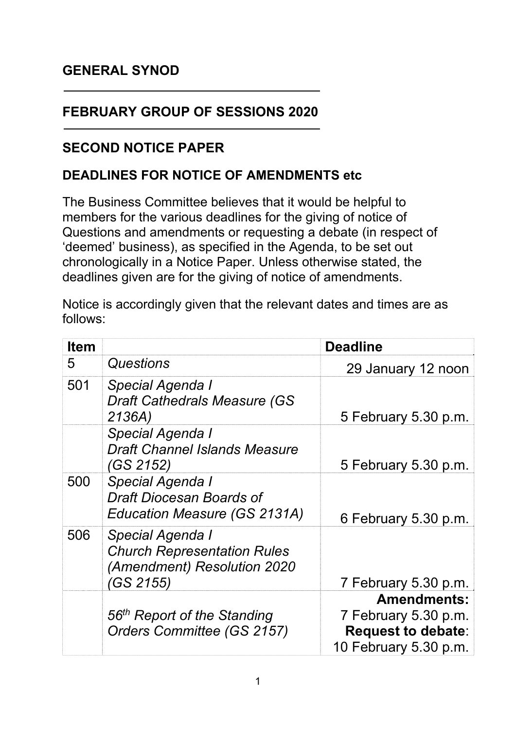## **GENERAL SYNOD**

## **FEBRUARY GROUP OF SESSIONS 2020**

## **SECOND NOTICE PAPER**

## **DEADLINES FOR NOTICE OF AMENDMENTS etc**

The Business Committee believes that it would be helpful to members for the various deadlines for the giving of notice of Questions and amendments or requesting a debate (in respect of 'deemed' business), as specified in the Agenda, to be set out chronologically in a Notice Paper. Unless otherwise stated, the deadlines given are for the giving of notice of amendments.

Notice is accordingly given that the relevant dates and times are as follows:

| <b>Item</b> | <b>Deadline</b>                                                                                    |                                                                            |
|-------------|----------------------------------------------------------------------------------------------------|----------------------------------------------------------------------------|
| 5           | Questions                                                                                          | 29 January 12 noon                                                         |
| 501         | Special Agenda I<br><b>Draft Cathedrals Measure (GS)</b><br>2136A)                                 | 5 February 5.30 p.m.                                                       |
|             | Special Agenda I<br><b>Draft Channel Islands Measure</b><br>(GS 2152)                              | 5 February 5.30 p.m.                                                       |
| 500         | Special Agenda I<br>Draft Diocesan Boards of<br>Education Measure (GS 2131A)                       | 6 February 5.30 p.m.                                                       |
| 506         | Special Agenda I<br><b>Church Representation Rules</b><br>(Amendment) Resolution 2020<br>(GS 2155) | 7 February 5.30 p.m.                                                       |
|             |                                                                                                    | <b>Amendments:</b>                                                         |
|             | 56 <sup>th</sup> Report of the Standing<br>Orders Committee (GS 2157)                              | 7 February 5.30 p.m.<br><b>Request to debate:</b><br>10 February 5.30 p.m. |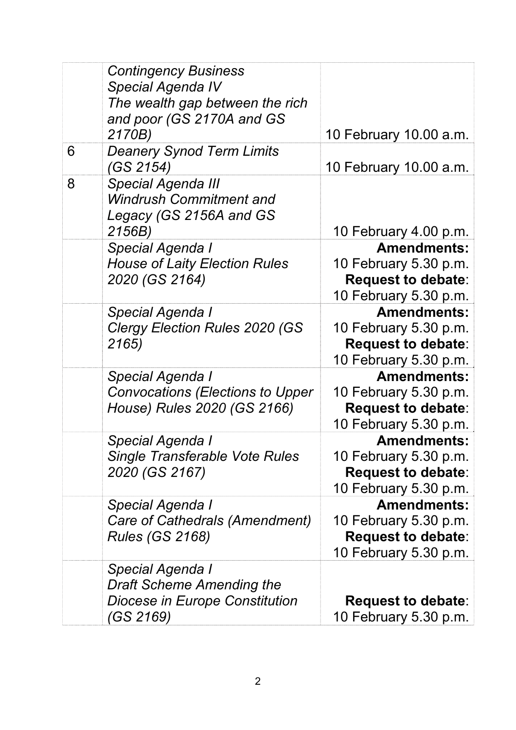|   | <b>Contingency Business</b><br><b>Special Agenda IV</b><br>The wealth gap between the rich<br>and poor (GS 2170A and GS |                                                                                                   |
|---|-------------------------------------------------------------------------------------------------------------------------|---------------------------------------------------------------------------------------------------|
| 6 | 2170B)<br><b>Deanery Synod Term Limits</b><br>(GS 2154)                                                                 | 10 February 10.00 a.m.<br>10 February 10.00 a.m.                                                  |
| 8 | <b>Special Agenda III</b><br><b>Windrush Commitment and</b><br>Legacy (GS 2156A and GS                                  |                                                                                                   |
|   | 2156B)                                                                                                                  | 10 February 4.00 p.m.<br><b>Amendments:</b>                                                       |
|   | <b>Special Agenda I</b><br><b>House of Laity Election Rules</b><br>2020 (GS 2164)                                       | 10 February 5.30 p.m.<br><b>Request to debate:</b><br>10 February 5.30 p.m.                       |
|   | <b>Special Agenda I</b><br><b>Clergy Election Rules 2020 (GS)</b><br>2165)                                              | <b>Amendments:</b><br>10 February 5.30 p.m.<br><b>Request to debate:</b><br>10 February 5.30 p.m. |
|   | Special Agenda I<br><b>Convocations (Elections to Upper</b><br>House) Rules 2020 (GS 2166)                              | <b>Amendments:</b><br>10 February 5.30 p.m.<br><b>Request to debate:</b><br>10 February 5.30 p.m. |
|   | Special Agenda I<br><b>Single Transferable Vote Rules</b><br>2020 (GS 2167)                                             | <b>Amendments:</b><br>10 February 5.30 p.m.<br><b>Request to debate:</b><br>10 February 5.30 p.m. |
|   | <b>Special Agenda I</b><br>Care of Cathedrals (Amendment)<br><b>Rules (GS 2168)</b>                                     | <b>Amendments:</b><br>10 February 5.30 p.m.<br><b>Request to debate:</b><br>10 February 5.30 p.m. |
|   | <b>Special Agenda I</b><br><b>Draft Scheme Amending the</b><br>Diocese in Europe Constitution<br>(GS 2169)              | <b>Request to debate:</b><br>10 February 5.30 p.m.                                                |